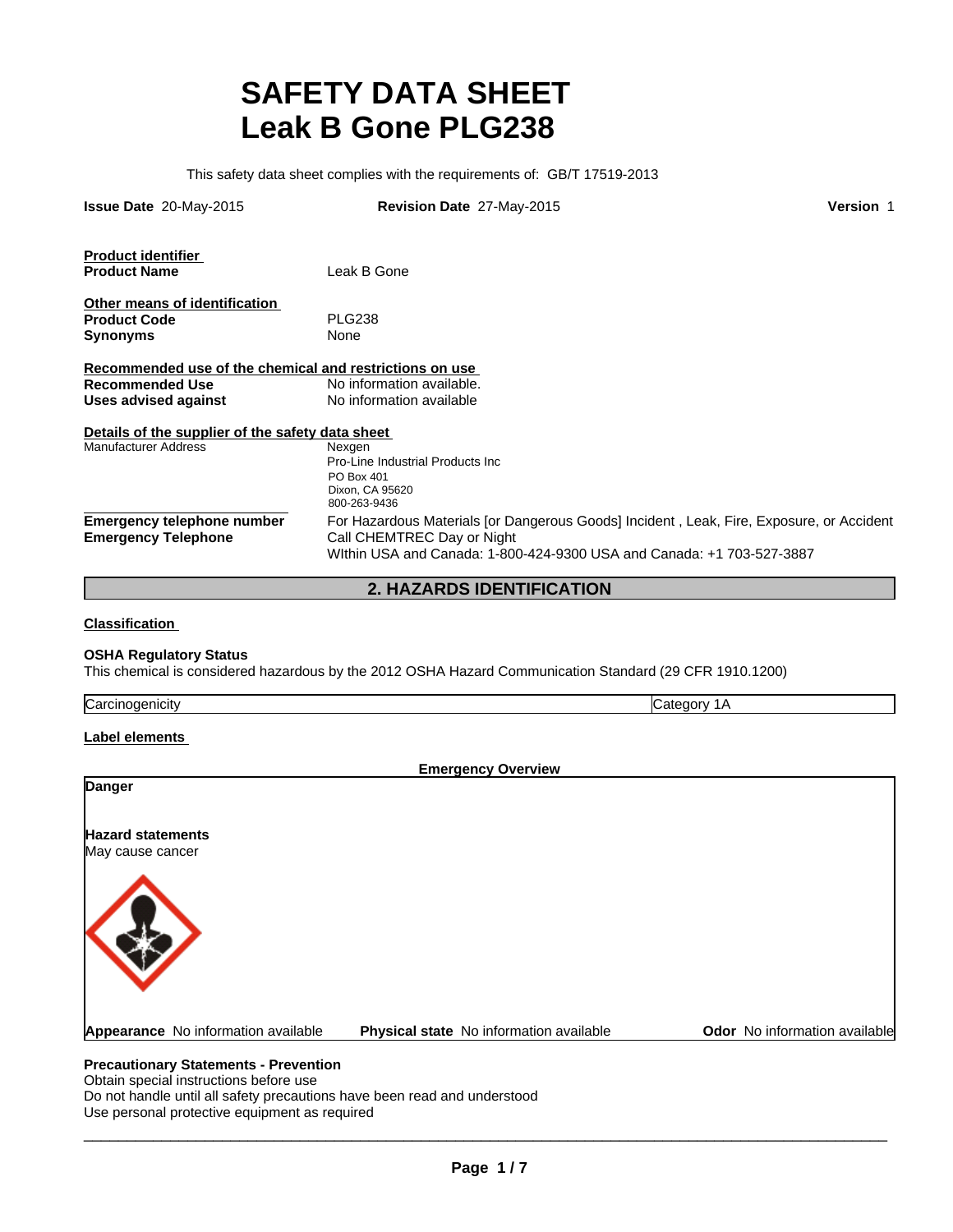# **SAFETY DATA SHEET Leak B Gone PLG238**

This safety data sheet complies with the requirements of: GB/T 17519-2013

| <b>Issue Date 20-May-2015</b>                            | Revision Date 27-May-2015                                                                                                                                                                      | <b>Version 1</b> |
|----------------------------------------------------------|------------------------------------------------------------------------------------------------------------------------------------------------------------------------------------------------|------------------|
| <b>Product identifier</b>                                |                                                                                                                                                                                                |                  |
| <b>Product Name</b>                                      | Leak B Gone                                                                                                                                                                                    |                  |
| Other means of identification                            |                                                                                                                                                                                                |                  |
| <b>Product Code</b>                                      | <b>PLG238</b>                                                                                                                                                                                  |                  |
| <b>Synonyms</b>                                          | None                                                                                                                                                                                           |                  |
| Recommended use of the chemical and restrictions on use  |                                                                                                                                                                                                |                  |
| <b>Recommended Use</b>                                   | No information available.                                                                                                                                                                      |                  |
| Uses advised against                                     | No information available                                                                                                                                                                       |                  |
| Details of the supplier of the safety data sheet         |                                                                                                                                                                                                |                  |
| <b>Manufacturer Address</b>                              | Nexgen<br>Pro-Line Industrial Products Inc.<br>PO Box 401<br>Dixon, CA 95620<br>800-263-9436                                                                                                   |                  |
| Emergency telephone number<br><b>Emergency Telephone</b> | For Hazardous Materials for Dangerous Goods Incident, Leak, Fire, Exposure, or Accident<br>Call CHEMTREC Day or Night<br>Within USA and Canada: 1-800-424-9300 USA and Canada: +1 703-527-3887 |                  |
|                                                          |                                                                                                                                                                                                |                  |

**2. HAZARDS IDENTIFICATION**

**Classification**

### **OSHA Regulatory Status**

This chemical is considered hazardous by the 2012 OSHA Hazard Communication Standard (29 CFR 1910.1200)

| $^\circ$ oroin<br>·nicitv<br>uner .<br>oditiilli.<br>. | . .<br>. |
|--------------------------------------------------------|----------|
|                                                        |          |

## **Label elements**

|                                              | <b>Emergency Overview</b>               |                               |
|----------------------------------------------|-----------------------------------------|-------------------------------|
| Danger                                       |                                         |                               |
| <b>Hazard statements</b><br>May cause cancer |                                         |                               |
|                                              |                                         |                               |
| Appearance No information available          | Physical state No information available | Odor No information available |

Obtain special instructions before use Do not handle until all safety precautions have been read and understood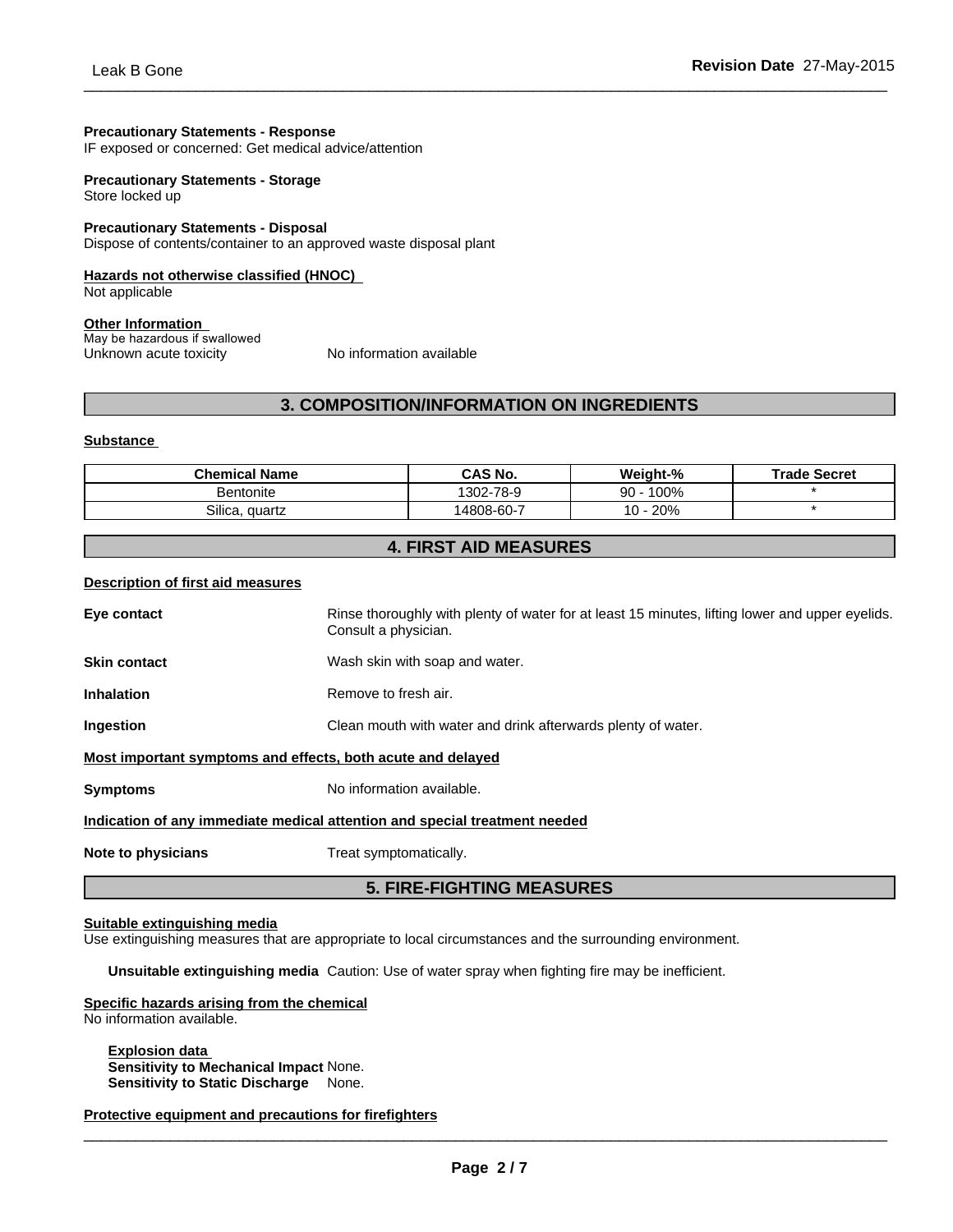## **Precautionary Statements - Response**

IF exposed or concerned: Get medical advice/attention

#### **Precautionary Statements - Storage** Store locked up

#### **Precautionary Statements - Disposal** Dispose of contents/container to an approved waste disposal plant

## **Hazards not otherwise classified (HNOC)**

Not applicable

## **Other Information**

May be hazardous if swallowed Unknown acute toxicity No information available

## **3. COMPOSITION/INFORMATION ON INGREDIENTS**

### **Substance**

| <b>Chemical Name</b> | CAS No.    | Weight-%      | <b>Trade Secret</b> |
|----------------------|------------|---------------|---------------------|
| <b>Bentonite</b>     | 1302-78-9  | 100%<br>90    |                     |
| Silica.<br>auartz    | 14808-60-7 | 20%<br>$10 -$ |                     |

## **4. FIRST AID MEASURES**

#### **Description of first aid measures**

|                                                             | <b>5. FIRE-FIGHTING MEASURES</b>                                                                                        |
|-------------------------------------------------------------|-------------------------------------------------------------------------------------------------------------------------|
| Note to physicians                                          | Treat symptomatically.                                                                                                  |
|                                                             | Indication of any immediate medical attention and special treatment needed                                              |
| <b>Symptoms</b>                                             | No information available.                                                                                               |
| Most important symptoms and effects, both acute and delayed |                                                                                                                         |
| Ingestion                                                   | Clean mouth with water and drink afterwards plenty of water.                                                            |
| <b>Inhalation</b>                                           | Remove to fresh air.                                                                                                    |
| <b>Skin contact</b>                                         | Wash skin with soap and water.                                                                                          |
| Eye contact                                                 | Rinse thoroughly with plenty of water for at least 15 minutes, lifting lower and upper eyelids.<br>Consult a physician. |
|                                                             |                                                                                                                         |

#### **Suitable extinguishing media**

Use extinguishing measures that are appropriate to local circumstances and the surrounding environment.

**Unsuitable extinguishing media** Caution: Use of water spray when fighting fire may be inefficient.

#### **Specific hazards arising from the chemical**

No information available.

**Explosion data Sensitivity to Mechanical Impact** None. **Sensitivity to Static Discharge** None.

**Protective equipment and precautions for firefighters**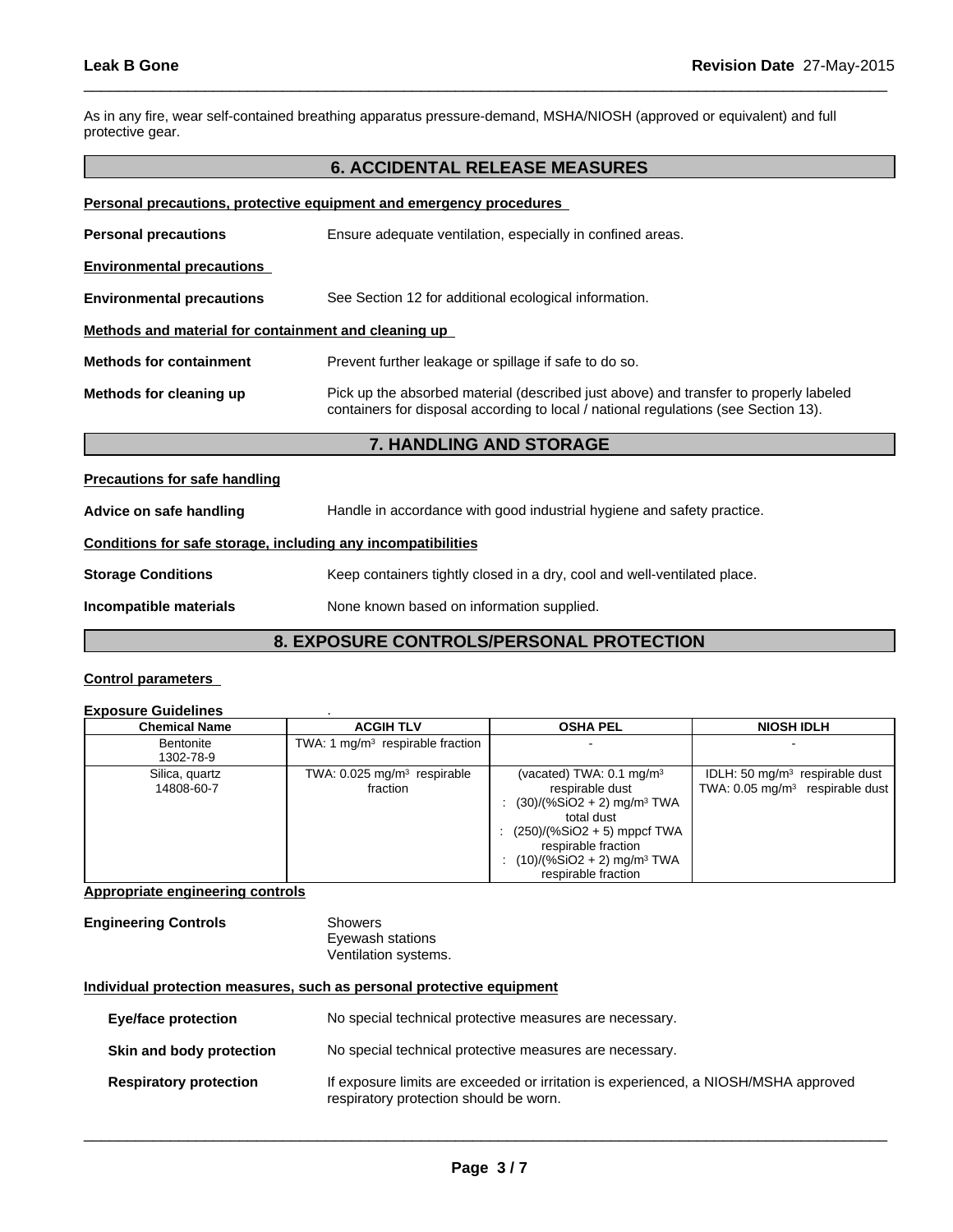As in any fire, wear self-contained breathing apparatus pressure-demand, MSHA/NIOSH (approved or equivalent) and full protective gear.

## **6. ACCIDENTAL RELEASE MEASURES**

 $\overline{\phantom{a}}$  ,  $\overline{\phantom{a}}$  ,  $\overline{\phantom{a}}$  ,  $\overline{\phantom{a}}$  ,  $\overline{\phantom{a}}$  ,  $\overline{\phantom{a}}$  ,  $\overline{\phantom{a}}$  ,  $\overline{\phantom{a}}$  ,  $\overline{\phantom{a}}$  ,  $\overline{\phantom{a}}$  ,  $\overline{\phantom{a}}$  ,  $\overline{\phantom{a}}$  ,  $\overline{\phantom{a}}$  ,  $\overline{\phantom{a}}$  ,  $\overline{\phantom{a}}$  ,  $\overline{\phantom{a}}$ 

| Personal precautions, protective equipment and emergency procedures |                                                                                                                                                                              |  |  |  |
|---------------------------------------------------------------------|------------------------------------------------------------------------------------------------------------------------------------------------------------------------------|--|--|--|
| <b>Personal precautions</b>                                         | Ensure adequate ventilation, especially in confined areas.                                                                                                                   |  |  |  |
| <b>Environmental precautions</b>                                    |                                                                                                                                                                              |  |  |  |
| <b>Environmental precautions</b>                                    | See Section 12 for additional ecological information.                                                                                                                        |  |  |  |
| Methods and material for containment and cleaning up                |                                                                                                                                                                              |  |  |  |
| <b>Methods for containment</b>                                      | Prevent further leakage or spillage if safe to do so.                                                                                                                        |  |  |  |
| Methods for cleaning up                                             | Pick up the absorbed material (described just above) and transfer to properly labeled<br>containers for disposal according to local / national regulations (see Section 13). |  |  |  |

## **7. HANDLING AND STORAGE**

**Precautions for safe handling**

**Advice on safe handling** Handle in accordance with good industrial hygiene and safety practice.

## **Conditions for safe storage, including any incompatibilities**

**Storage Conditions** Keep containers tightly closed in a dry, cool and well-ventilated place.

**Incompatible materials** None known based on information supplied.

## **8. EXPOSURE CONTROLS/PERSONAL PROTECTION**

## **Control parameters**

| <b>Exposure Guidelines</b> |  |
|----------------------------|--|
|                            |  |

| Chemical Name                | <b>ACGIH TLV</b>                                      | <b>OSHA PEL</b>                                                                                                                                                                                                                               | <b>NIOSH IDLH</b>                                                              |
|------------------------------|-------------------------------------------------------|-----------------------------------------------------------------------------------------------------------------------------------------------------------------------------------------------------------------------------------------------|--------------------------------------------------------------------------------|
| Bentonite<br>1302-78-9       | TWA: 1 $mq/m3$ respirable fraction                    |                                                                                                                                                                                                                                               |                                                                                |
| Silica, quartz<br>14808-60-7 | TWA: $0.025$ mg/m <sup>3</sup> respirable<br>fraction | (vacated) TWA: $0.1 \text{ mg/m}^3$<br>respirable dust<br>$(30)/(%SiO2 + 2)$ mg/m <sup>3</sup> TWA<br>total dust<br>: $(250)/(%SiO2 + 5)$ mppcf TWA<br>respirable fraction<br>$(10)/(%SiO2 + 2)$ mg/m <sup>3</sup> TWA<br>respirable fraction | IDLH: 50 $mq/m3$ respirable dust<br>TWA: $0.05 \text{ mg/m}^3$ respirable dust |

## **Appropriate engineering controls**

## **Engineering Controls** Showers

Eyewash stations Ventilation systems.

## **Individual protection measures, such as personal protective equipment**

| Eye/face protection           | No special technical protective measures are necessary.                                                                       |
|-------------------------------|-------------------------------------------------------------------------------------------------------------------------------|
| Skin and body protection      | No special technical protective measures are necessary.                                                                       |
| <b>Respiratory protection</b> | If exposure limits are exceeded or irritation is experienced, a NIOSH/MSHA approved<br>respiratory protection should be worn. |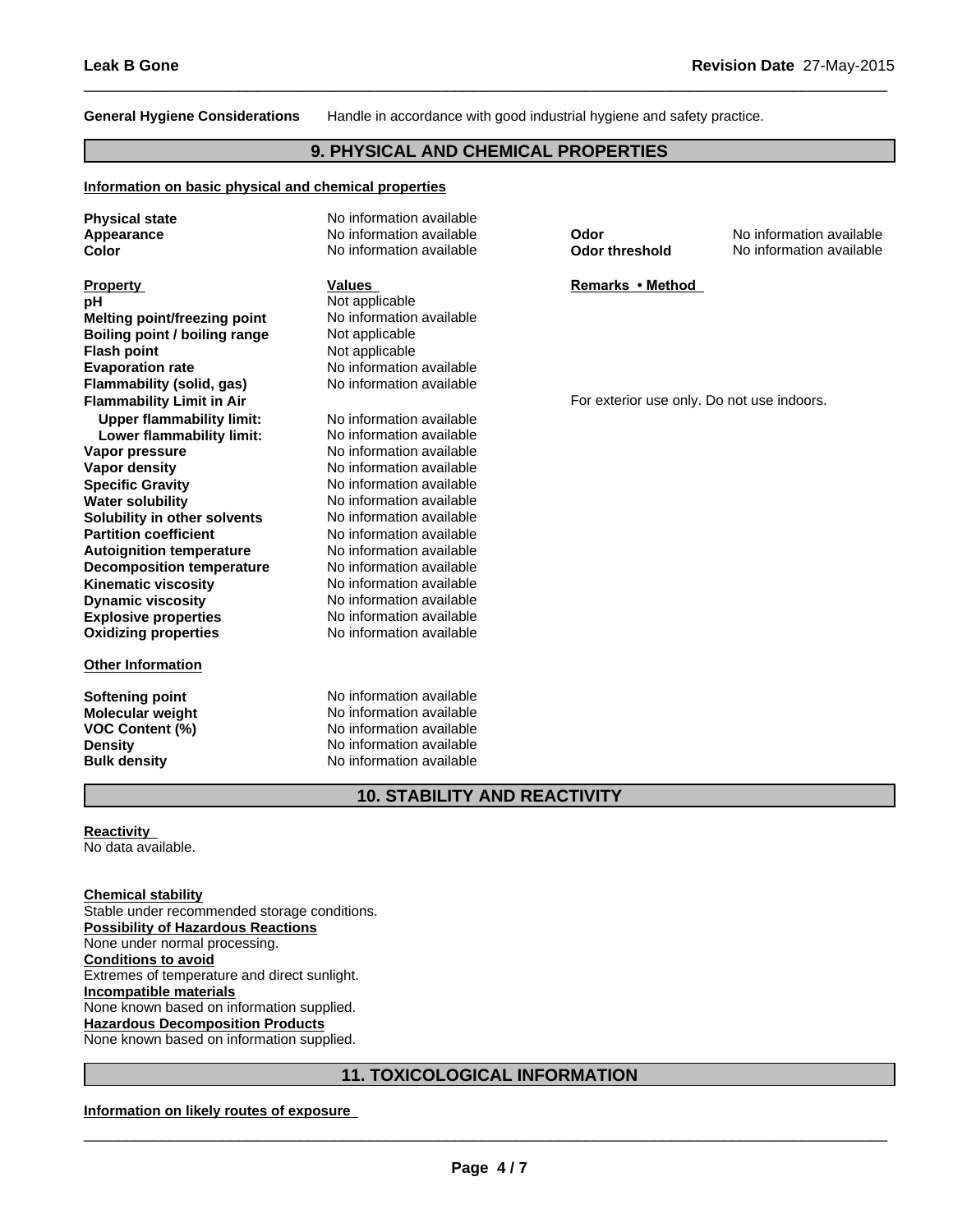**General Hygiene Considerations** Handle in accordance with good industrial hygiene and safety practice.

 $\overline{\phantom{a}}$  ,  $\overline{\phantom{a}}$  ,  $\overline{\phantom{a}}$  ,  $\overline{\phantom{a}}$  ,  $\overline{\phantom{a}}$  ,  $\overline{\phantom{a}}$  ,  $\overline{\phantom{a}}$  ,  $\overline{\phantom{a}}$  ,  $\overline{\phantom{a}}$  ,  $\overline{\phantom{a}}$  ,  $\overline{\phantom{a}}$  ,  $\overline{\phantom{a}}$  ,  $\overline{\phantom{a}}$  ,  $\overline{\phantom{a}}$  ,  $\overline{\phantom{a}}$  ,  $\overline{\phantom{a}}$ 

## **9. PHYSICAL AND CHEMICAL PROPERTIES**

## **Information on basic physical and chemical properties**

| <b>Physical state</b>            | No information available            |                                            |                          |
|----------------------------------|-------------------------------------|--------------------------------------------|--------------------------|
| Appearance                       | No information available            | Odor                                       | No information available |
| Color                            | No information available            | <b>Odor threshold</b>                      | No information available |
| <b>Property</b>                  | <b>Values</b>                       | Remarks • Method                           |                          |
| pH                               | Not applicable                      |                                            |                          |
| Melting point/freezing point     | No information available            |                                            |                          |
| Boiling point / boiling range    | Not applicable                      |                                            |                          |
| <b>Flash point</b>               | Not applicable                      |                                            |                          |
| <b>Evaporation rate</b>          | No information available            |                                            |                          |
| Flammability (solid, gas)        | No information available            |                                            |                          |
| <b>Flammability Limit in Air</b> |                                     | For exterior use only. Do not use indoors. |                          |
| <b>Upper flammability limit:</b> | No information available            |                                            |                          |
| Lower flammability limit:        | No information available            |                                            |                          |
| Vapor pressure                   | No information available            |                                            |                          |
| <b>Vapor density</b>             | No information available            |                                            |                          |
| <b>Specific Gravity</b>          | No information available            |                                            |                          |
| <b>Water solubility</b>          | No information available            |                                            |                          |
| Solubility in other solvents     | No information available            |                                            |                          |
| <b>Partition coefficient</b>     | No information available            |                                            |                          |
| <b>Autoignition temperature</b>  | No information available            |                                            |                          |
| <b>Decomposition temperature</b> | No information available            |                                            |                          |
| <b>Kinematic viscosity</b>       | No information available            |                                            |                          |
| <b>Dynamic viscosity</b>         | No information available            |                                            |                          |
| <b>Explosive properties</b>      | No information available            |                                            |                          |
| <b>Oxidizing properties</b>      | No information available            |                                            |                          |
| <b>Other Information</b>         |                                     |                                            |                          |
| <b>Softening point</b>           | No information available            |                                            |                          |
| <b>Molecular weight</b>          | No information available            |                                            |                          |
| <b>VOC Content (%)</b>           | No information available            |                                            |                          |
| <b>Density</b>                   | No information available            |                                            |                          |
| <b>Bulk density</b>              | No information available            |                                            |                          |
|                                  | <b>10. STABILITY AND REACTIVITY</b> |                                            |                          |

## **Reactivity**

No data available.

## **Chemical stability**

Stable under recommended storage conditions. **Possibility of Hazardous Reactions** None under normal processing. **Conditions to avoid** Extremes of temperature and direct sunlight. **Incompatible materials** None known based on information supplied. **Hazardous Decomposition Products** None known based on information supplied.

## **11. TOXICOLOGICAL INFORMATION**

#### **Information on likely routes of exposure**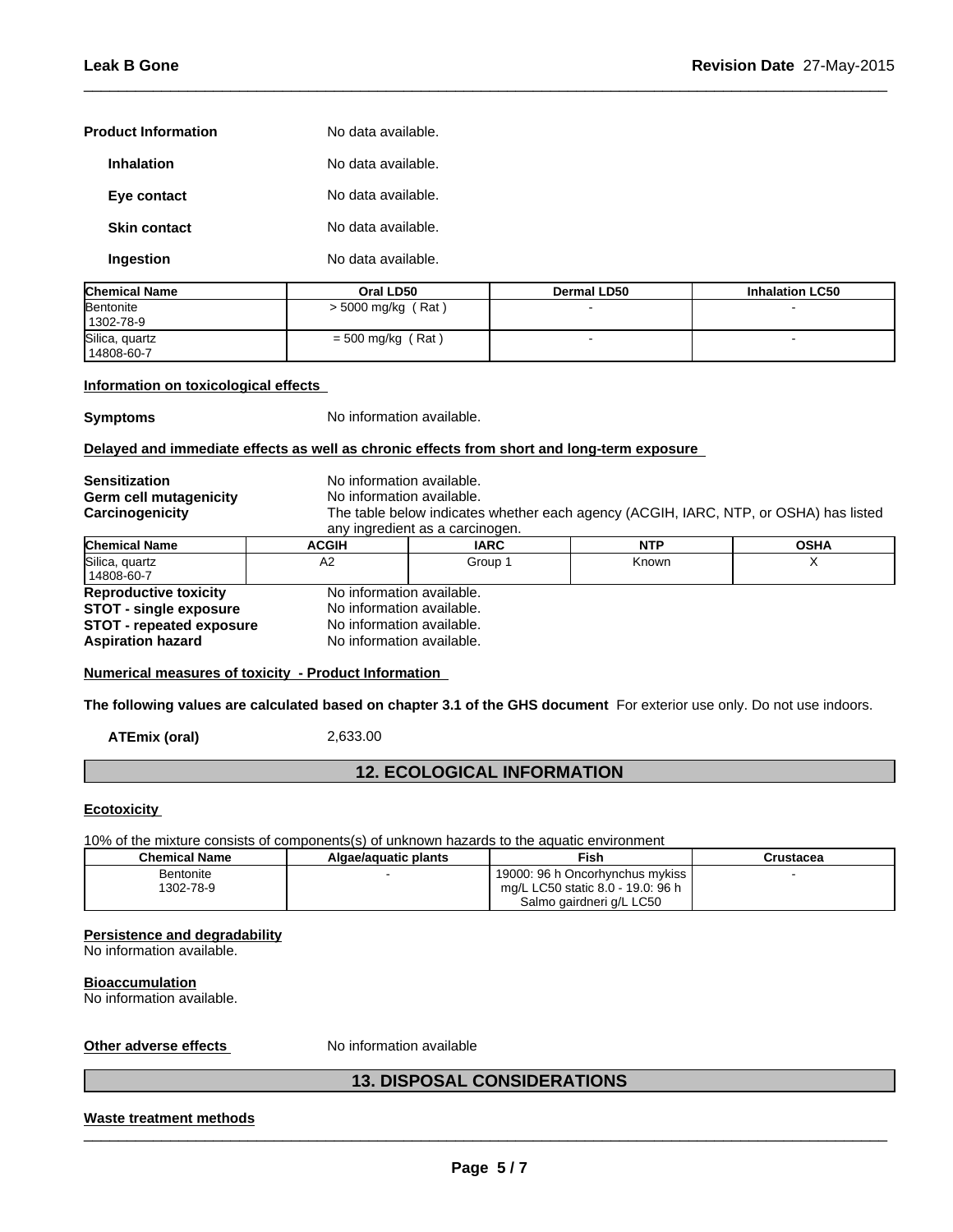| <b>Product Information</b> | No data available. |
|----------------------------|--------------------|
| <b>Inhalation</b>          | No data available. |
| Eye contact                | No data available. |
| <b>Skin contact</b>        | No data available. |
| Ingestion                  | No data available. |

| <b>Chemical Name</b> | Oral LD50            | <b>Dermal LD50</b> | <b>Inhalation LC50</b> |
|----------------------|----------------------|--------------------|------------------------|
| Bentonite            | $>$ 5000 mg/kg (Rat) |                    |                        |
| 1302-78-9            |                      |                    |                        |
| Silica, quartz       | $=$ 500 mg/kg (Rat)  |                    |                        |
| 14808-60-7           |                      |                    |                        |

 $\overline{\phantom{a}}$  ,  $\overline{\phantom{a}}$  ,  $\overline{\phantom{a}}$  ,  $\overline{\phantom{a}}$  ,  $\overline{\phantom{a}}$  ,  $\overline{\phantom{a}}$  ,  $\overline{\phantom{a}}$  ,  $\overline{\phantom{a}}$  ,  $\overline{\phantom{a}}$  ,  $\overline{\phantom{a}}$  ,  $\overline{\phantom{a}}$  ,  $\overline{\phantom{a}}$  ,  $\overline{\phantom{a}}$  ,  $\overline{\phantom{a}}$  ,  $\overline{\phantom{a}}$  ,  $\overline{\phantom{a}}$ 

## **Information on toxicological effects**

**Symptoms** No information available.

## **Delayed and immediate effects as well as chronic effects from short and long-term exposure**

| <b>Sensitization</b>            | No information available.                                                                                         |             |            |             |  |  |  |
|---------------------------------|-------------------------------------------------------------------------------------------------------------------|-------------|------------|-------------|--|--|--|
| Germ cell mutagenicity          | No information available.<br>The table below indicates whether each agency (ACGIH, IARC, NTP, or OSHA) has listed |             |            |             |  |  |  |
| Carcinogenicity                 |                                                                                                                   |             |            |             |  |  |  |
|                                 | any ingredient as a carcinogen.                                                                                   |             |            |             |  |  |  |
| <b>Chemical Name</b>            | <b>ACGIH</b>                                                                                                      | <b>IARC</b> | <b>NTP</b> | <b>OSHA</b> |  |  |  |
| Silica, quartz<br>  14808-60-7  | A2                                                                                                                | Group 1     | Known      |             |  |  |  |
| <b>Reproductive toxicity</b>    | No information available.                                                                                         |             |            |             |  |  |  |
| <b>STOT - single exposure</b>   | No information available.                                                                                         |             |            |             |  |  |  |
| <b>STOT - repeated exposure</b> | No information available.                                                                                         |             |            |             |  |  |  |
| <b>Aspiration hazard</b>        | No information available.                                                                                         |             |            |             |  |  |  |

**Numerical measures of toxicity - Product Information**

**The following values are calculated based on chapter 3.1 of the GHS document** For exterior use only. Do not use indoors.

**ATEmix (oral)** 2,633.00

## **12. ECOLOGICAL INFORMATION**

## **Ecotoxicity**

10% of the mixture consists of components(s) of unknown hazards to the aquatic environment

| <b>Chemical Name</b> | Algae/aquatic plants | Fish                              | Crustacea |
|----------------------|----------------------|-----------------------------------|-----------|
| Bentonite            |                      | 19000: 96 h Oncorhynchus mykiss   |           |
| 1302-78-9            |                      | mg/L LC50 static 8.0 - 19.0: 96 h |           |
|                      |                      | Salmo gairdneri g/L LC50          |           |

## **Persistence and degradability**

No information available.

#### **Bioaccumulation**

No information available.

## **Other adverse effects** No information available

## **13. DISPOSAL CONSIDERATIONS**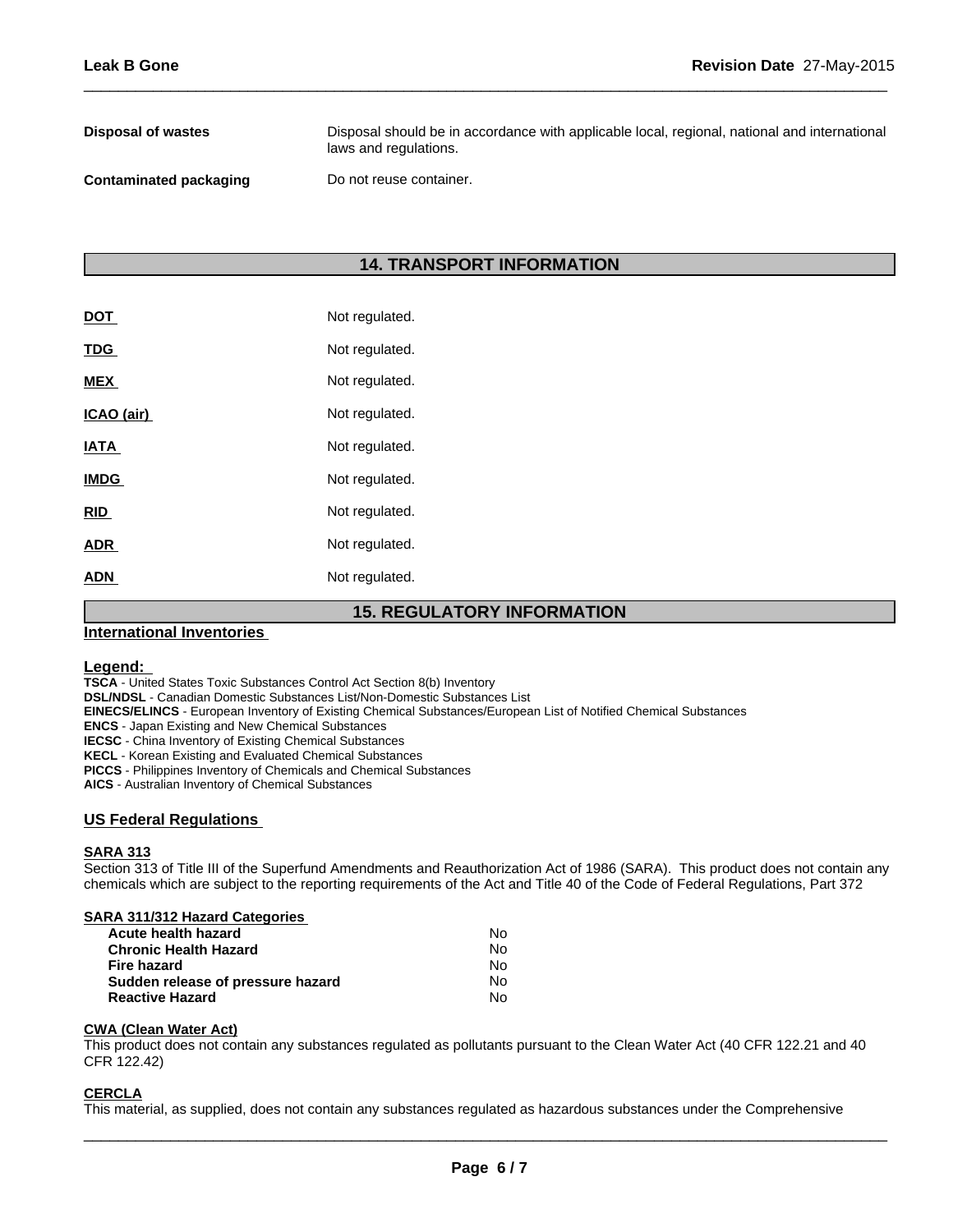| Disposal of wastes     | Disposal should be in accordance with applicable local, regional, national and international<br>laws and regulations. |
|------------------------|-----------------------------------------------------------------------------------------------------------------------|
| Contaminated packaging | Do not reuse container.                                                                                               |

 $\overline{\phantom{a}}$  ,  $\overline{\phantom{a}}$  ,  $\overline{\phantom{a}}$  ,  $\overline{\phantom{a}}$  ,  $\overline{\phantom{a}}$  ,  $\overline{\phantom{a}}$  ,  $\overline{\phantom{a}}$  ,  $\overline{\phantom{a}}$  ,  $\overline{\phantom{a}}$  ,  $\overline{\phantom{a}}$  ,  $\overline{\phantom{a}}$  ,  $\overline{\phantom{a}}$  ,  $\overline{\phantom{a}}$  ,  $\overline{\phantom{a}}$  ,  $\overline{\phantom{a}}$  ,  $\overline{\phantom{a}}$ 

## **14. TRANSPORT INFORMATION**

| <b>ADN</b>  | Not regulated. |
|-------------|----------------|
| <b>ADR</b>  | Not regulated. |
| <b>RID</b>  | Not regulated. |
| <b>IMDG</b> | Not regulated. |
| <b>IATA</b> | Not regulated. |
| ICAO (air)  | Not regulated. |
| <b>MEX</b>  | Not regulated. |
| <u>TDG</u>  | Not regulated. |
| <u>DOT</u>  | Not regulated. |

## **15. REGULATORY INFORMATION**

## **International Inventories**

## **Legend:**

**TSCA** - United States Toxic Substances Control Act Section 8(b) Inventory

**DSL/NDSL** - Canadian Domestic Substances List/Non-Domestic Substances List

**EINECS/ELINCS** - European Inventory of Existing Chemical Substances/European List of Notified Chemical Substances

**ENCS** - Japan Existing and New Chemical Substances

**IECSC** - China Inventory of Existing Chemical Substances

**KECL** - Korean Existing and Evaluated Chemical Substances

**PICCS** - Philippines Inventory of Chemicals and Chemical Substances

**AICS** - Australian Inventory of Chemical Substances

## **US Federal Regulations**

#### **SARA 313**

Section 313 of Title III of the Superfund Amendments and Reauthorization Act of 1986 (SARA). This product does not contain any chemicals which are subject to the reporting requirements of the Act and Title 40 of the Code of Federal Regulations, Part 372

|  |  |  | <b>SARA 311/312 Hazard Categories</b> |
|--|--|--|---------------------------------------|
|  |  |  |                                       |

| Acute health hazard               | Nο |
|-----------------------------------|----|
| <b>Chronic Health Hazard</b>      | N٥ |
| Fire hazard                       | N٥ |
| Sudden release of pressure hazard | N٥ |
| <b>Reactive Hazard</b>            | N٥ |

#### **CWA** (Clean Water Act)

This product does not contain any substances regulated as pollutants pursuant to the Clean Water Act (40 CFR 122.21 and 40 CFR 122.42)

## **CERCLA**

This material, as supplied, does not contain any substances regulated as hazardous substances under the Comprehensive